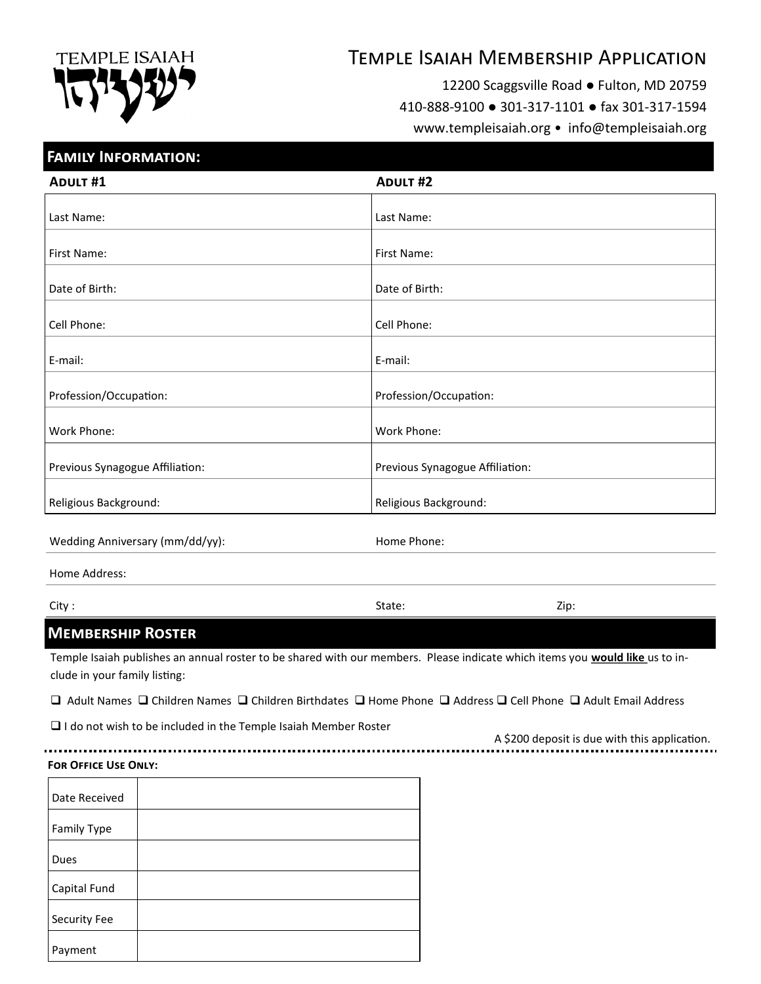# **TEMPLE ISAIAH**

# Temple Isaiah Membership Application

12200 Scaggsville Road ● Fulton, MD 20759

410-888-9100 ● 301-317-1101 ● fax 301-317-1594

www.templeisaiah.org • info@templeisaiah.org

## **Family Information:**

| <b>ADULT #1</b>                 | <b>ADULT #2</b>                 |
|---------------------------------|---------------------------------|
|                                 |                                 |
| Last Name:                      | Last Name:                      |
| First Name:                     | First Name:                     |
| Date of Birth:                  | Date of Birth:                  |
| Cell Phone:                     | Cell Phone:                     |
| E-mail:                         | E-mail:                         |
| Profession/Occupation:          | Profession/Occupation:          |
| Work Phone:                     | Work Phone:                     |
| Previous Synagogue Affiliation: | Previous Synagogue Affiliation: |
| Religious Background:           | Religious Background:           |

Wedding Anniversary (mm/dd/yy): Wedding Anniversary (mm/dd/yy):

Home Address:

City : State: Zip:

# **Membership Roster**

Temple Isaiah publishes an annual roster to be shared with our members. Please indicate which items you **would like** us to include in your family listing:

 $\Box$  Adult Names  $\Box$  Children Names  $\Box$  Children Birthdates  $\Box$  Home Phone  $\Box$  Address  $\Box$  Cell Phone  $\Box$  Adult Email Address

 $\Box$  I do not wish to be included in the Temple Isaiah Member Roster

A \$200 deposit is due with this application.

#### **For Office Use Only:**

| Date Received |  |
|---------------|--|
| Family Type   |  |
| Dues          |  |
| Capital Fund  |  |
| Security Fee  |  |
| Payment       |  |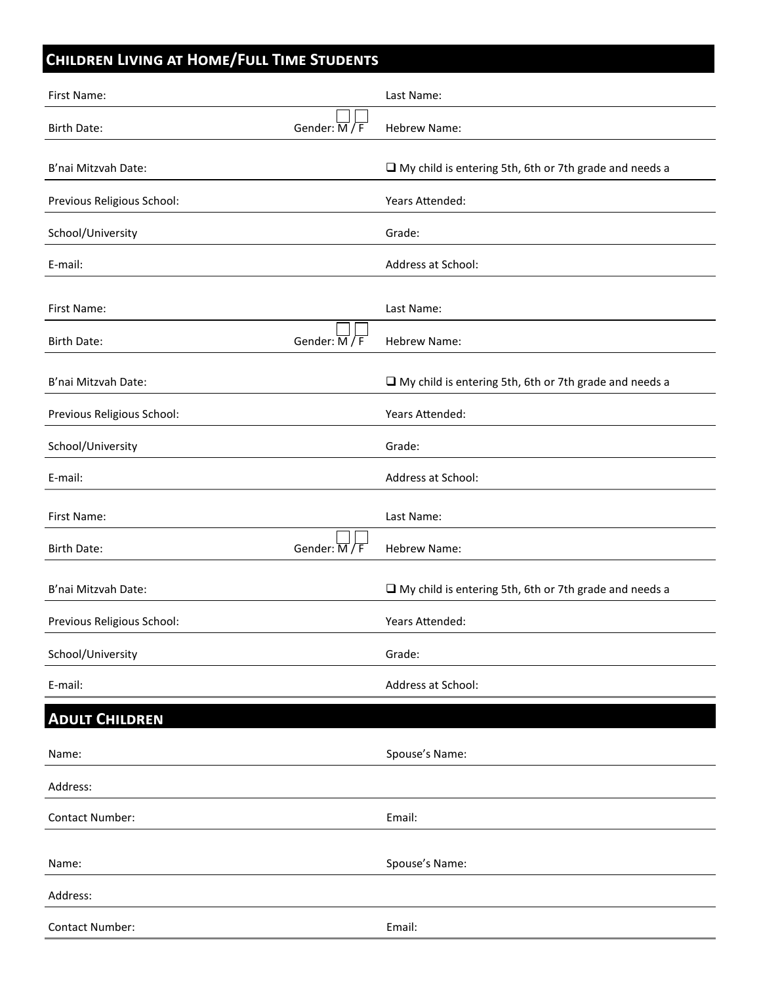# **Children Living at Home/Full Time Students**

| First Name:                |                                     | Last Name:                                                    |
|----------------------------|-------------------------------------|---------------------------------------------------------------|
| <b>Birth Date:</b>         | Gender: $\overline{M}/\overline{F}$ | Hebrew Name:                                                  |
| B'nai Mitzvah Date:        |                                     | $\Box$ My child is entering 5th, 6th or 7th grade and needs a |
| Previous Religious School: |                                     | Years Attended:                                               |
| School/University          |                                     | Grade:                                                        |
| E-mail:                    |                                     | Address at School:                                            |
| First Name:                |                                     | Last Name:                                                    |
| Birth Date:                | Gender: $\overline{M}/\overline{F}$ | Hebrew Name:                                                  |
| B'nai Mitzvah Date:        |                                     | $\Box$ My child is entering 5th, 6th or 7th grade and needs a |
| Previous Religious School: |                                     | Years Attended:                                               |
| School/University          |                                     | Grade:                                                        |
| E-mail:                    |                                     | Address at School:                                            |
| First Name:                |                                     | Last Name:                                                    |
| <b>Birth Date:</b>         | Gender: M/F                         | Hebrew Name:                                                  |
| B'nai Mitzvah Date:        |                                     | $\Box$ My child is entering 5th, 6th or 7th grade and needs a |
| Previous Religious School: |                                     | Years Attended:                                               |
| School/University          |                                     | Grade:                                                        |
| E-mail:                    |                                     | Address at School:                                            |
| <b>ADULT CHILDREN</b>      |                                     |                                                               |
| Name:                      |                                     | Spouse's Name:                                                |
| Address:                   |                                     |                                                               |
| Contact Number:            |                                     | Email:                                                        |
| Name:                      |                                     | Spouse's Name:                                                |
| Address:                   |                                     |                                                               |
| <b>Contact Number:</b>     |                                     | Email:                                                        |